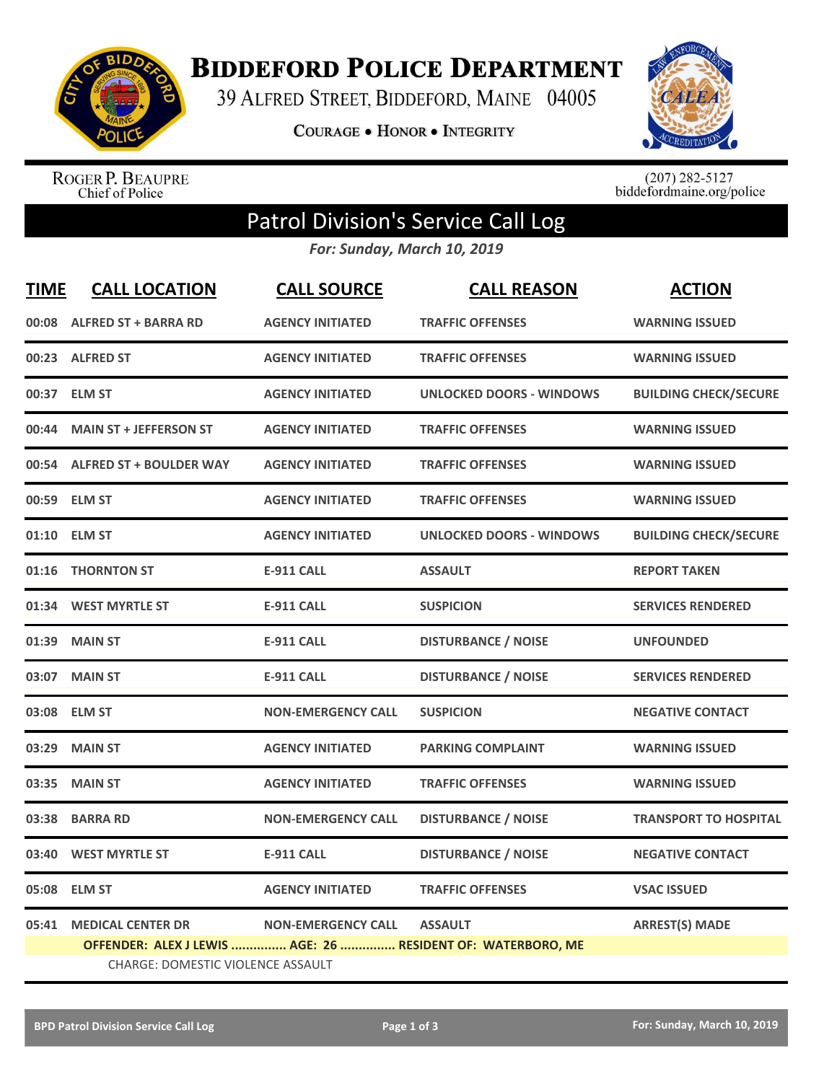

**BIDDEFORD POLICE DEPARTMENT** 

39 ALFRED STREET, BIDDEFORD, MAINE 04005

**COURAGE . HONOR . INTEGRITY** 



ROGER P. BEAUPRE<br>Chief of Police

 $(207)$  282-5127<br>biddefordmaine.org/police

## Patrol Division's Service Call Log

*For: Sunday, March 10, 2019*

| <b>TIME</b> | <b>CALL LOCATION</b>              | <b>CALL SOURCE</b>        | <b>CALL REASON</b>                                          | <b>ACTION</b>                |  |  |
|-------------|-----------------------------------|---------------------------|-------------------------------------------------------------|------------------------------|--|--|
|             | 00:08 ALFRED ST + BARRA RD        | <b>AGENCY INITIATED</b>   | <b>TRAFFIC OFFENSES</b>                                     | <b>WARNING ISSUED</b>        |  |  |
|             | 00:23 ALFRED ST                   | <b>AGENCY INITIATED</b>   | <b>TRAFFIC OFFENSES</b>                                     | <b>WARNING ISSUED</b>        |  |  |
| 00:37       | <b>ELM ST</b>                     | <b>AGENCY INITIATED</b>   | <b>UNLOCKED DOORS - WINDOWS</b>                             | <b>BUILDING CHECK/SECURE</b> |  |  |
| 00:44       | <b>MAIN ST + JEFFERSON ST</b>     | <b>AGENCY INITIATED</b>   | <b>TRAFFIC OFFENSES</b>                                     | <b>WARNING ISSUED</b>        |  |  |
| 00:54       | <b>ALFRED ST + BOULDER WAY</b>    | <b>AGENCY INITIATED</b>   | <b>TRAFFIC OFFENSES</b>                                     | <b>WARNING ISSUED</b>        |  |  |
|             | 00:59 ELM ST                      | <b>AGENCY INITIATED</b>   | <b>TRAFFIC OFFENSES</b>                                     | <b>WARNING ISSUED</b>        |  |  |
|             | 01:10 ELM ST                      | <b>AGENCY INITIATED</b>   | <b>UNLOCKED DOORS - WINDOWS</b>                             | <b>BUILDING CHECK/SECURE</b> |  |  |
| 01:16       | <b>THORNTON ST</b>                | <b>E-911 CALL</b>         | <b>ASSAULT</b>                                              | <b>REPORT TAKEN</b>          |  |  |
|             | 01:34 WEST MYRTLE ST              | <b>E-911 CALL</b>         | <b>SUSPICION</b>                                            | <b>SERVICES RENDERED</b>     |  |  |
| 01:39       | <b>MAIN ST</b>                    | <b>E-911 CALL</b>         | <b>DISTURBANCE / NOISE</b>                                  | <b>UNFOUNDED</b>             |  |  |
| 03:07       | <b>MAIN ST</b>                    | <b>E-911 CALL</b>         | <b>DISTURBANCE / NOISE</b>                                  | <b>SERVICES RENDERED</b>     |  |  |
|             | 03:08 ELM ST                      | <b>NON-EMERGENCY CALL</b> | <b>SUSPICION</b>                                            | <b>NEGATIVE CONTACT</b>      |  |  |
| 03:29       | <b>MAIN ST</b>                    | <b>AGENCY INITIATED</b>   | <b>PARKING COMPLAINT</b>                                    | <b>WARNING ISSUED</b>        |  |  |
| 03:35       | <b>MAIN ST</b>                    | <b>AGENCY INITIATED</b>   | <b>TRAFFIC OFFENSES</b>                                     | <b>WARNING ISSUED</b>        |  |  |
| 03:38       | <b>BARRA RD</b>                   | <b>NON-EMERGENCY CALL</b> | <b>DISTURBANCE / NOISE</b>                                  | <b>TRANSPORT TO HOSPITAL</b> |  |  |
| 03:40       | <b>WEST MYRTLE ST</b>             | <b>E-911 CALL</b>         | <b>DISTURBANCE / NOISE</b>                                  | <b>NEGATIVE CONTACT</b>      |  |  |
| 05:08       | <b>ELM ST</b>                     | <b>AGENCY INITIATED</b>   | <b>TRAFFIC OFFENSES</b>                                     | <b>VSAC ISSUED</b>           |  |  |
| 05:41       | <b>MEDICAL CENTER DR</b>          | <b>NON-EMERGENCY CALL</b> | <b>ASSAULT</b>                                              | <b>ARREST(S) MADE</b>        |  |  |
|             |                                   |                           | OFFENDER: ALEX J LEWIS  AGE: 26  RESIDENT OF: WATERBORO, ME |                              |  |  |
|             | CHARGE: DOMESTIC VIOLENCE ASSAULT |                           |                                                             |                              |  |  |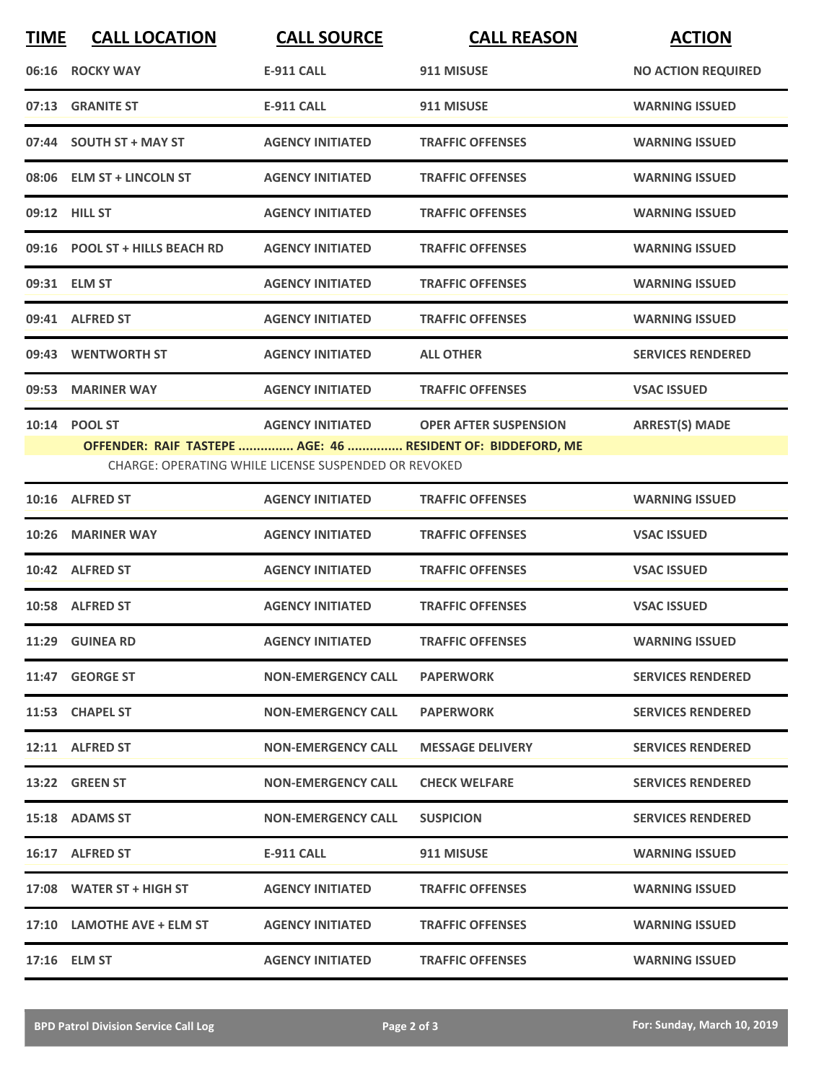| <b>TIME</b> | <b>CALL LOCATION</b>           | <b>CALL SOURCE</b>                                          | <b>CALL REASON</b>                                          | <b>ACTION</b>             |
|-------------|--------------------------------|-------------------------------------------------------------|-------------------------------------------------------------|---------------------------|
|             | 06:16 ROCKY WAY                | <b>E-911 CALL</b>                                           | 911 MISUSE                                                  | <b>NO ACTION REQUIRED</b> |
|             | 07:13 GRANITE ST               | <b>E-911 CALL</b>                                           | 911 MISUSE                                                  | <b>WARNING ISSUED</b>     |
|             | 07:44 SOUTH ST + MAY ST        | <b>AGENCY INITIATED</b>                                     | <b>TRAFFIC OFFENSES</b>                                     | <b>WARNING ISSUED</b>     |
|             | 08:06 ELM ST + LINCOLN ST      | <b>AGENCY INITIATED</b>                                     | <b>TRAFFIC OFFENSES</b>                                     | <b>WARNING ISSUED</b>     |
|             | 09:12 HILL ST                  | <b>AGENCY INITIATED</b>                                     | <b>TRAFFIC OFFENSES</b>                                     | <b>WARNING ISSUED</b>     |
|             | 09:16 POOL ST + HILLS BEACH RD | <b>AGENCY INITIATED</b>                                     | <b>TRAFFIC OFFENSES</b>                                     | <b>WARNING ISSUED</b>     |
|             | 09:31 ELM ST                   | <b>AGENCY INITIATED</b>                                     | <b>TRAFFIC OFFENSES</b>                                     | <b>WARNING ISSUED</b>     |
|             | 09:41 ALFRED ST                | <b>AGENCY INITIATED</b>                                     | <b>TRAFFIC OFFENSES</b>                                     | <b>WARNING ISSUED</b>     |
| 09:43       | <b>WENTWORTH ST</b>            | <b>AGENCY INITIATED</b>                                     | <b>ALL OTHER</b>                                            | <b>SERVICES RENDERED</b>  |
|             | 09:53 MARINER WAY              | <b>AGENCY INITIATED</b>                                     | <b>TRAFFIC OFFENSES</b>                                     | <b>VSAC ISSUED</b>        |
|             | 10:14 POOL ST                  | <b>AGENCY INITIATED</b>                                     | <b>OPER AFTER SUSPENSION</b>                                | <b>ARREST(S) MADE</b>     |
|             |                                | <b>CHARGE: OPERATING WHILE LICENSE SUSPENDED OR REVOKED</b> | OFFENDER: RAIF TASTEPE  AGE: 46  RESIDENT OF: BIDDEFORD, ME |                           |
|             | 10:16 ALFRED ST                | <b>AGENCY INITIATED</b>                                     | <b>TRAFFIC OFFENSES</b>                                     | <b>WARNING ISSUED</b>     |
| 10:26       | <b>MARINER WAY</b>             | <b>AGENCY INITIATED</b>                                     | <b>TRAFFIC OFFENSES</b>                                     | <b>VSAC ISSUED</b>        |
|             | 10:42 ALFRED ST                | <b>AGENCY INITIATED</b>                                     | <b>TRAFFIC OFFENSES</b>                                     | <b>VSAC ISSUED</b>        |
|             | 10:58 ALFRED ST                | <b>AGENCY INITIATED</b>                                     | <b>TRAFFIC OFFENSES</b>                                     | <b>VSAC ISSUED</b>        |
|             | 11:29 GUINEA RD                | <b>AGENCY INITIATED</b>                                     | <b>TRAFFIC OFFENSES</b>                                     | <b>WARNING ISSUED</b>     |
|             | 11:47 GEORGE ST                | <b>NON-EMERGENCY CALL</b>                                   | <b>PAPERWORK</b>                                            | <b>SERVICES RENDERED</b>  |
|             | 11:53 CHAPEL ST                | <b>NON-EMERGENCY CALL</b>                                   | <b>PAPERWORK</b>                                            | <b>SERVICES RENDERED</b>  |
|             | 12:11 ALFRED ST                | <b>NON-EMERGENCY CALL</b>                                   | <b>MESSAGE DELIVERY</b>                                     | <b>SERVICES RENDERED</b>  |
|             | 13:22 GREEN ST                 | <b>NON-EMERGENCY CALL</b>                                   | <b>CHECK WELFARE</b>                                        | <b>SERVICES RENDERED</b>  |
|             | 15:18 ADAMS ST                 | <b>NON-EMERGENCY CALL</b>                                   | <b>SUSPICION</b>                                            | <b>SERVICES RENDERED</b>  |
|             | 16:17 ALFRED ST                | E-911 CALL                                                  | 911 MISUSE                                                  | <b>WARNING ISSUED</b>     |
|             | 17:08 WATER ST + HIGH ST       | <b>AGENCY INITIATED</b>                                     | <b>TRAFFIC OFFENSES</b>                                     | <b>WARNING ISSUED</b>     |
|             | 17:10 LAMOTHE AVE + ELM ST     | <b>AGENCY INITIATED</b>                                     | <b>TRAFFIC OFFENSES</b>                                     | <b>WARNING ISSUED</b>     |
|             | 17:16 ELM ST                   | <b>AGENCY INITIATED</b>                                     | <b>TRAFFIC OFFENSES</b>                                     | <b>WARNING ISSUED</b>     |